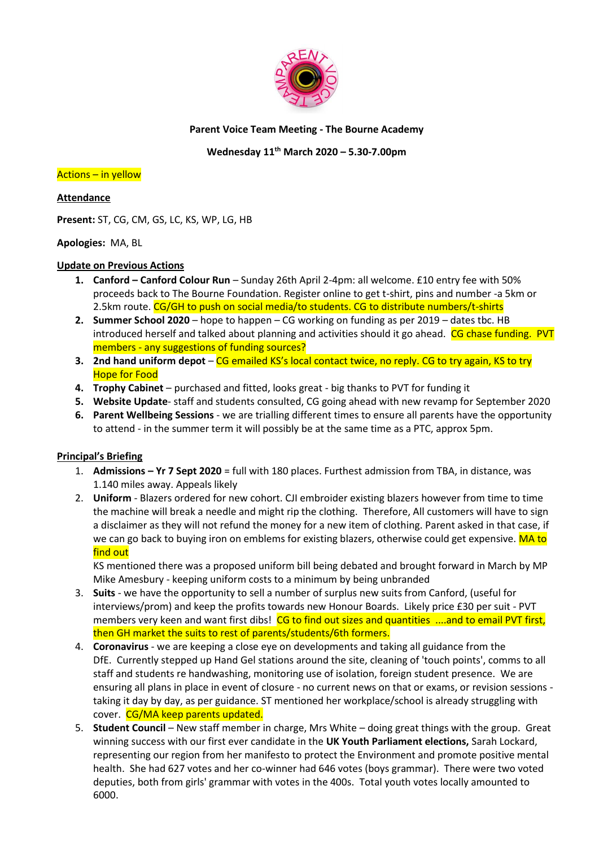

# **Parent Voice Team Meeting - The Bourne Academy**

# **Wednesday 11th March 2020 – 5.30-7.00pm**

#### Actions – in yellow

# **Attendance**

**Present:** ST, CG, CM, GS, LC, KS, WP, LG, HB

# **Apologies:** MA, BL

# **Update on Previous Actions**

- **1. Canford – Canford Colour Run** Sunday 26th April 2-4pm: all welcome. £10 entry fee with 50% proceeds back to The Bourne Foundation. Register online to get t-shirt, pins and number -a 5km or 2.5km route. CG/GH to push on social media/to students. CG to distribute numbers/t-shirts
- **2. Summer School 2020** hope to happen CG working on funding as per 2019 dates tbc. HB introduced herself and talked about planning and activities should it go ahead. CG chase funding. PVT members - any suggestions of funding sources?
- **3. 2nd hand uniform depot** CG emailed KS's local contact twice, no reply. CG to try again, KS to try Hope for Food
- **4. Trophy Cabinet** purchased and fitted, looks great big thanks to PVT for funding it
- **5. Website Update** staff and students consulted, CG going ahead with new revamp for September 2020
- **6. Parent Wellbeing Sessions** we are trialling different times to ensure all parents have the opportunity to attend - in the summer term it will possibly be at the same time as a PTC, approx 5pm.

# **Principal's Briefing**

- 1. **Admissions – Yr 7 Sept 2020** = full with 180 places. Furthest admission from TBA, in distance, was 1.140 miles away. Appeals likely
- 2. **Uniform** Blazers ordered for new cohort. CJI embroider existing blazers however from time to time the machine will break a needle and might rip the clothing. Therefore, All customers will have to sign a disclaimer as they will not refund the money for a new item of clothing. Parent asked in that case, if we can go back to buying iron on emblems for existing blazers, otherwise could get expensive. MA to find out

KS mentioned there was a proposed uniform bill being debated and brought forward in March by MP Mike Amesbury - keeping uniform costs to a minimum by being unbranded

- 3. **Suits** we have the opportunity to sell a number of surplus new suits from Canford, (useful for interviews/prom) and keep the profits towards new Honour Boards. Likely price £30 per suit - PVT members very keen and want first dibs! CG to find out sizes and quantities ....and to email PVT first, then GH market the suits to rest of parents/students/6th formers.
- 4. **Coronavirus** we are keeping a close eye on developments and taking all guidance from the DfE. Currently stepped up Hand Gel stations around the site, cleaning of 'touch points', comms to all staff and students re handwashing, monitoring use of isolation, foreign student presence. We are ensuring all plans in place in event of closure - no current news on that or exams, or revision sessions taking it day by day, as per guidance. ST mentioned her workplace/school is already struggling with cover. CG/MA keep parents updated.
- 5. **Student Council** New staff member in charge, Mrs White doing great things with the group. Great winning success with our first ever candidate in the **UK Youth Parliament elections,** Sarah Lockard, representing our region from her manifesto to protect the Environment and promote positive mental health. She had 627 votes and her co-winner had 646 votes (boys grammar). There were two voted deputies, both from girls' grammar with votes in the 400s. Total youth votes locally amounted to 6000.